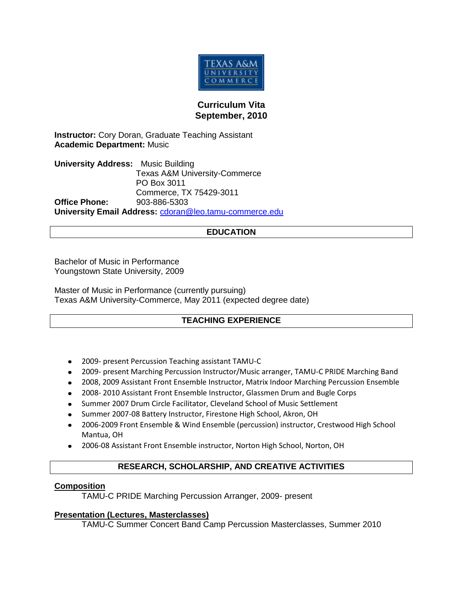

## **Curriculum Vita September, 2010**

**Instructor:** Cory Doran, Graduate Teaching Assistant **Academic Department:** Music

**University Address:** Music Building Texas A&M University-Commerce PO Box 3011 Commerce, TX 75429-3011 **Office Phone:** 903-886-5303 **University Email Address:** [cdoran@leo.tamu-commerce.edu](mailto:cdoran@leo.tamu-commerce.edu)

### **EDUCATION**

Bachelor of Music in Performance Youngstown State University, 2009

Master of Music in Performance (currently pursuing) Texas A&M University-Commerce, May 2011 (expected degree date)

#### **TEACHING EXPERIENCE**

- 2009- present Percussion Teaching assistant TAMU-C
- 2009- present Marching Percussion Instructor/Music arranger, TAMU-C PRIDE Marching Band
- 2008, 2009 Assistant Front Ensemble Instructor, Matrix Indoor Marching Percussion Ensemble
- 2008- 2010 Assistant Front Ensemble Instructor, Glassmen Drum and Bugle Corps
- Summer 2007 Drum Circle Facilitator, Cleveland School of Music Settlement
- Summer 2007-08 Battery Instructor, Firestone High School, Akron, OH
- 2006-2009 Front Ensemble & Wind Ensemble (percussion) instructor, Crestwood High School Mantua, OH
- 2006-08 Assistant Front Ensemble instructor, Norton High School, Norton, OH

# **RESEARCH, SCHOLARSHIP, AND CREATIVE ACTIVITIES**

#### **Composition**

TAMU-C PRIDE Marching Percussion Arranger, 2009- present

#### **Presentation (Lectures, Masterclasses)**

TAMU-C Summer Concert Band Camp Percussion Masterclasses, Summer 2010